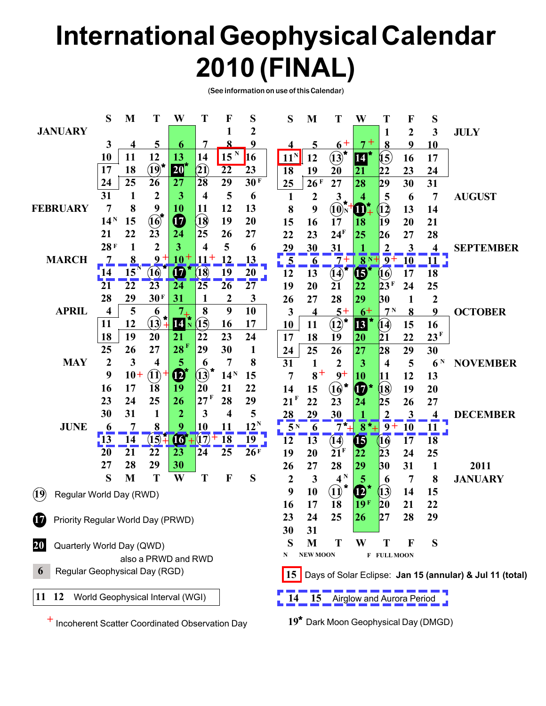# **International Geophysical Calendar 2010 (FINAL)**

(See information on use of this Calendar)

|                                                | S                | M     | T                                  | W                             | T                        | F                 | S      | S                | M                                                | Т                            | W                            | T                       | F         | S                |                                                          |
|------------------------------------------------|------------------|-------|------------------------------------|-------------------------------|--------------------------|-------------------|--------|------------------|--------------------------------------------------|------------------------------|------------------------------|-------------------------|-----------|------------------|----------------------------------------------------------|
| <b>JANUARY</b>                                 |                  |       |                                    |                               |                          |                   | 2      |                  |                                                  |                              |                              | 1                       | 2         | 3                | <b>JULY</b>                                              |
|                                                | 3                | 4     | 5                                  | 6                             | 7                        | $\bf{8}$          | 9      |                  |                                                  | $6+$                         |                              | 8                       | 9         | 10               |                                                          |
|                                                | 10               | 11    | 12                                 | 13                            | 14                       | $\frac{15}{15}$ N | 16     | $11^N$           | 12                                               | $\overline{13}^{\star}$      | 14                           | $\boldsymbol{\hat{15}}$ | 16        | 17               |                                                          |
|                                                | 17               | 18    | $\mathbf{\widehat{19}}^{\bigstar}$ | $20^{\circ}$                  | $\widehat{\mathbf{21}}$  | $\overline{22}$   | 23     | $\overline{18}$  | 19                                               | 20                           | 21                           | 22                      | 23        | 24               |                                                          |
|                                                | 24               | 25    | 26                                 | 27                            | $\overline{28}$          | 29                | 30 F   | 25               | 26F                                              | 27                           | 28                           | $ 29\rangle$            | 30        | 31               |                                                          |
|                                                | 31               | 1     | $\boldsymbol{2}$                   | 3                             | $\overline{\mathbf{4}}$  | 5                 | 6      | 1                | $\boldsymbol{2}$                                 | $\mathbf{3}$                 | 4                            | 5                       | 6         | 7                | <b>AUGUST</b>                                            |
| <b>FEBRUARY</b>                                | 7                | 8     | 9                                  | 10                            | 11                       | 12                | 13     | 8                | 9                                                | $(10)$ <sub>N</sub>          | $\mathbf{U}$                 | $\mathbf{12}$           | 13        | 14               |                                                          |
|                                                | 14 <sup>N</sup>  | 15    | $\textcircled{f}$                  | $\boldsymbol{\Phi}$           | $\mathbf{\overline{18}}$ | 19                | 20     | 15               | 16                                               | 17                           | 18                           | 19                      | 20        | 21               |                                                          |
|                                                | 21               | 22    | 23                                 | 24                            | 25                       | 26                | 27     | 22               | 23                                               | 24 <sup>F</sup>              | 25                           | 26                      | 27        | 28               |                                                          |
|                                                | 28F              |       | $\overline{2}$                     | 3                             | 4                        | 5                 | 6      | 29               | 30                                               | 31                           |                              | $\overline{2}$          | 3         | 4                | <b>SEPTEMBER</b>                                         |
| <b>MARCH</b>                                   |                  | 8     | 9                                  | 10                            | $11^{+}$                 | 12                | 13     | 5                | $\overline{\mathbf{6}}$                          | $\overline{7}$ +             | $\overline{8}$ <sub>N+</sub> | $\overline{9+}$         | <u>10</u> | <u>11</u>        |                                                          |
|                                                |                  | 15    | 16)                                | $\bf{G}$                      | $({\bf 18})$             | 19                | 20     | 12               | 13                                               | (14)                         | <b>6</b>                     | 16)                     | 17        | 18               |                                                          |
|                                                | 21               | 22    | 23                                 | 24                            | 25                       | 26                | 27     | 19               | 20                                               | 21                           | 22                           | 23 <sup>F</sup>         | 24        | 25               |                                                          |
|                                                | 28               | 29    | 30F                                | 31                            | $\mathbf 1$              | $\boldsymbol{2}$  | 3      | 26               | 27                                               | 28                           | 29                           | 30                      | 1         | $\boldsymbol{2}$ |                                                          |
| <b>APRIL</b>                                   | 4                | 5     | 6                                  | 7 <sub>4</sub>                | 8                        | 9                 | 10     | 3                | 4                                                | $5+$                         | $6+$                         | 7 <sup>N</sup>          | 8         | 9                | <b>OCTOBER</b>                                           |
|                                                | 11               | 12    | $\mathbf{(13)}$                    | 14 <sup>h</sup>               | $({\bf 15})$             | 16                | 17     | 10               | 11                                               | $\overrightarrow{12}$        | $\overline{13}$              | 14)                     | 15        | 16               |                                                          |
|                                                | 18               | 19    | 20                                 | 21                            | 22                       | 23                | 24     | 17               | 18                                               | 19                           | 20                           | 21                      | 22        | 23 <sup>F</sup>  |                                                          |
|                                                | 25               | 26    | 27                                 | 28F                           | 29                       | 30                | 1      | 24               | 25                                               | 26                           | 27                           | 28                      | 29        | 30               |                                                          |
| <b>MAY</b>                                     | $\boldsymbol{2}$ | 3     | 4                                  | 5                             | 6                        | 7                 | 8      | 31               | 1                                                | 2                            | 3                            | $\overline{\mathbf{4}}$ | 5         | 6 <sup>N</sup>   | <b>NOVEMBER</b>                                          |
|                                                | 9                | $10+$ | $\bf(11)$                          | $\boldsymbol{\Phi}^{\!\star}$ | $\mathbf{\hat{13}}$      | 14 <sup>N</sup>   | 15     | $\overline{7}$   | $8^+$                                            | $9+$                         | 10                           | 11                      | 12        | 13               |                                                          |
|                                                | 16               | 17    | 18                                 | 19                            | 20                       | 21                | 22     | 14               | 15                                               | $(16)$ *                     | $\boldsymbol{\Phi}^*$        | 18)                     | 19        | 20               |                                                          |
|                                                | 23               | 24    | 25                                 | 26                            | 127 F                    | 28                | 29     | F<br>21          | 22                                               | 23                           | 24                           | 25                      | 26        | 27               |                                                          |
|                                                | 30               | 31    | 1                                  | $\overline{2}$                | 3                        | 4                 | 5      | 28               | 29                                               | 30                           |                              | <u>2</u>                | 3         |                  | <b>DECEMBER</b>                                          |
| <b>JUNE</b>                                    | 6                | 7     | 8                                  | 9                             | 10                       | 11                | $12^N$ | 5<br>N           | 6                                                | $7 +$                        | $\bf{8}$<br>$^{\star}$ +     | $\overline{9}$          | <b>10</b> | 11               |                                                          |
|                                                | $\overline{13}$  | 14    | (15)                               | <b>16*</b>                    | (17)                     | $+18$             | 19     | 12               | 13                                               | (14)                         | $\mathbf \Phi$               | (16)                    | 17        | 18               |                                                          |
|                                                | 20               | 21    | 22                                 | 23                            | 24                       | 25                | 26F    | 19               | 20                                               | $\sum_{i=1}^{n}$             | $\overline{22}$              | 23                      | 24        | 25               |                                                          |
|                                                | 27               | 28    | 29                                 | 30                            |                          |                   |        | 26               | 27                                               | 28                           | 29                           | 30                      | 31        | $\mathbf{1}$     | 2011                                                     |
|                                                | S                | M     | T                                  | W                             | T                        | F                 | S      | $\boldsymbol{2}$ | 3                                                | $4^N$                        | 5                            | $\boldsymbol{\theta}$   | 7         | 8                | <b>JANUARY</b>                                           |
| Regular World Day (RWD)<br>(19)                |                  |       |                                    |                               |                          |                   |        | 9                | 10                                               | $\bf (1)$                    | $\mathbf{D}$                 | 13)                     | 14        | 15               |                                                          |
|                                                |                  |       |                                    |                               |                          |                   |        | 16               | 17                                               | 18                           | 19 <sup>F</sup>              | 20                      | 21        | 22               |                                                          |
| Priority Regular World Day (PRWD)<br>W         |                  |       |                                    |                               |                          |                   |        | 23               | 24                                               | 25                           | 26                           | 27                      | 28        | 29               |                                                          |
|                                                |                  |       |                                    |                               |                          |                   |        | 30               | 31                                               |                              |                              |                         |           |                  |                                                          |
| Quarterly World Day (QWD)<br> 20               |                  |       |                                    |                               |                          |                   |        | S                | M                                                | т                            | W                            | Т                       | К         | S                |                                                          |
|                                                |                  |       | also a PRWD and RWD                |                               |                          |                   |        | N                | <b>NEW MOON</b>                                  |                              |                              | F FULL MOON             |           |                  |                                                          |
| Regular Geophysical Day (RGD)<br>6             |                  |       |                                    |                               |                          |                   |        | 15               |                                                  |                              |                              |                         |           |                  | Days of Solar Eclipse: Jan 15 (annular) & Jul 11 (total) |
| 11 12                                          |                  |       | World Geophysical Interval (WGI)   |                               |                          |                   |        |                  |                                                  | 15 Airglow and Aurora Period |                              |                         |           |                  |                                                          |
|                                                |                  |       |                                    |                               |                          |                   |        |                  |                                                  |                              |                              |                         |           |                  |                                                          |
| Incoherent Scatter Coordinated Observation Day |                  |       |                                    |                               |                          |                   |        |                  | 19 <sup>*</sup> Dark Moon Geophysical Day (DMGD) |                              |                              |                         |           |                  |                                                          |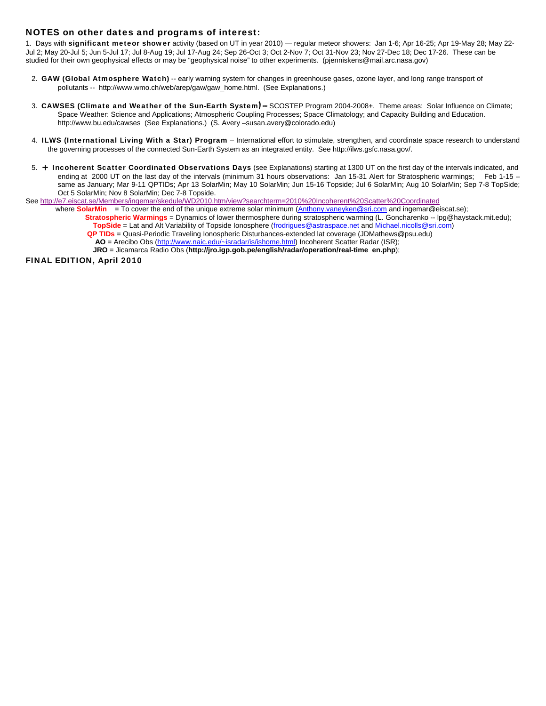## NOTES on other dates and programs of interest:

1. Days with significant meteor shower activity (based on UT in year 2010) — regular meteor showers: Jan 1-6; Apr 16-25; Apr 19-May 28; May 22-Jul 2; May 20-Jul 5; Jun 5-Jul 17; Jul 8-Aug 19; Jul 17-Aug 24; Sep 26-Oct 3; Oct 2-Nov 7; Oct 31-Nov 23; Nov 27-Dec 18; Dec 17-26. These can be studied for their own geophysical effects or may be "geophysical noise" to other experiments. (pjenniskens@mail.arc.nasa.gov)

- 2. GAW (Global Atmosphere Watch) -- early warning system for changes in greenhouse gases, ozone layer, and long range transport of pollutants -- http://www.wmo.ch/web/arep/gaw/gaw\_home.html. (See Explanations.)
- 3. CAWSES (Climate and Weather of the Sun-Earth System) SCOSTEP Program 2004-2008+. Theme areas: Solar Influence on Climate; Space Weather: Science and Applications; Atmospheric Coupling Processes; Space Climatology; and Capacity Building and Education. http://www.bu.edu/cawses (See Explanations.) (S. Avery –susan.avery@colorado.edu)
- 4. ILWS (International Living With a Star) Program International effort to stimulate, strengthen, and coordinate space research to understand the governing processes of the connected Sun-Earth System as an integrated entity. See http://ilws.gsfc.nasa.gov/.
- 5. + Incoherent Scatter Coordinated Observations Days (see Explanations) starting at 1300 UT on the first day of the intervals indicated, and ending at 2000 UT on the last day of the intervals (minimum 31 hours observations: Jan 15-31 Alert for Stratospheric warmings; Feb 1-15 same as January; Mar 9-11 QPTIDs; Apr 13 SolarMin; May 10 SolarMin; Jun 15-16 Topside; Jul 6 SolarMin; Aug 10 SolarMin; Sep 7-8 TopSide; Oct 5 SolarMin; Nov 8 SolarMin; Dec 7-8 Topside.

See http://e7.eiscat.se/Members/ingemar/skedule/WD2010.htm/view?searchterm=2010%20Incoherent%20Scatter%20Coordinated

where **SolarMin** = To cover the end of the unique extreme solar minimum (Anthony.vaneyken@sri.com and ingemar@eiscat.se);

 **Stratospheric Warmings** = Dynamics of lower thermosphere during stratospheric warming (L. Goncharenko -- lpg@haystack.mit.edu);  **TopSide** = Lat and Alt Variability of Topside Ionosphere (frodrigues@astraspace.net and Michael.nicolls@sri.com)  **QP TIDs** = Quasi-Periodic Traveling Ionospheric Disturbances-extended lat coverage (JDMathews@psu.edu)

 **AO** = Arecibo Obs (http://www.naic.edu/~isradar/is/ishome.html) Incoherent Scatter Radar (ISR);

**JRO** = Jicamarca Radio Obs (**http://jro.igp.gob.pe/english/radar/operation/real-time\_en.php**);

FINAL EDITION, April 2010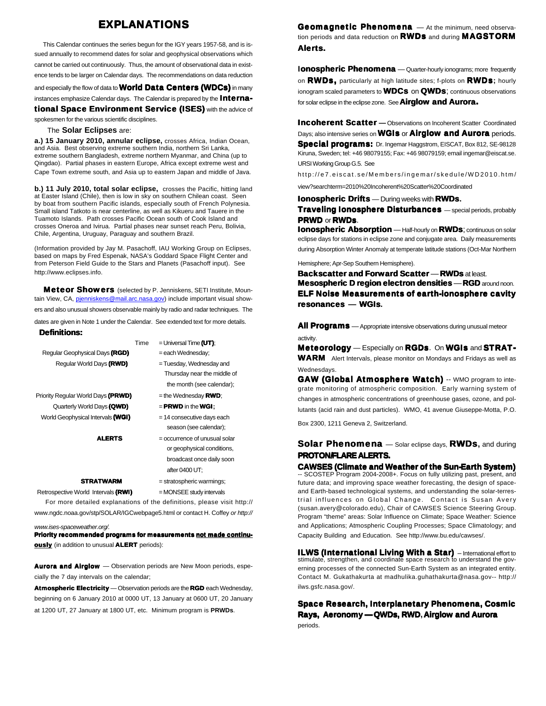## **FXPI ANATIONS**

 This Calendar continues the series begun for the IGY years 1957-58, and is issued annually to recommend dates for solar and geophysical observations which cannot be carried out continuously. Thus, the amount of observational data in existence tends to be larger on Calendar days. The recommendations on data reduction

and especially the flow of data to **World Data Centers (WDCs)** in many instances emphasize Calendar days. The Calendar is prepared by the **Interna**tional Space Environment Service (ISES) with the advice of

spokesmen for the various scientific disciplines.

### The **Solar Eclipses** are:

**a.) 15 January 2010, annular eclipse,** crosses Africa, Indian Ocean, and Asia. Best observing extreme southern India, northern Sri Lanka, extreme southern Bangladesh, extreme northern Myanmar, and China (up to Qingdao). Partial phases in eastern Europe, Africa except extreme west and Cape Town extreme south, and Asia up to eastern Japan and middle of Java.

**b.) 11 July 2010, total solar eclipse,** crosses the Pacific, hitting land at Easter Island (Chile), then is low in sky on southern Chilean coast. Seen by boat from southern Pacific islands, especially south of French Polynesia. Small island Tatkoto is near centerline, as well as Kikueru and Tauere in the Tuamoto Islands. Path crosses Pacific Ocean south of Cook Island and crosses Oneroa and Ivirua. Partial phases near sunset reach Peru, Bolivia, Chile, Argentina, Uruguay, Paraguay and southern Brazil.

(Information provided by Jay M. Pasachoff, IAU Working Group on Eclipses, based on maps by Fred Espenak, NASA's Goddard Space Flight Center and from Peterson Field Guide to the Stars and Planets (Pasachoff input). See http://www.eclipses.info.

**Meteor Showers** (selected by P. Jenniskens, SETI Institute, Mountain View, CA, pienniskens@mail.arc.nasa.gov) include important visual showers and also unusual showers observable mainly by radio and radar techniques. The

dates are given in Note 1 under the Calendar. See extended text for more details. Definitions:

| Regular Geophysical Days (RGD)     | Time | $=$ Universal Time $(UT)$ :<br>= each Wednesday; |
|------------------------------------|------|--------------------------------------------------|
|                                    |      |                                                  |
| Regular World Days (RWD)           |      | $=$ Tuesday, Wednesday and                       |
|                                    |      | Thursday near the middle of                      |
|                                    |      | the month (see calendar);                        |
| Priority Regular World Days (PRWD) |      | $=$ the Wednesday <b>RWD</b> ;                   |
| Quarterly World Days (QWD)         |      | $=$ <b>PRWD</b> in the <b>WGI</b> :              |
| World Geophysical Intervals (WGI)  |      | $= 14$ consecutive days each                     |
|                                    |      | season (see calendar);                           |
| <b>ALERTS</b>                      |      | $=$ occurrence of unusual solar                  |
|                                    |      | or geophysical conditions,                       |
|                                    |      | broadcast once daily soon                        |
|                                    |      | after 0400 LIT.                                  |

#### $\text{STRATWARM} = \text{stratospheric warnings}$

Retrospective World Intervals (RWI) = MONSEE study intervals

 For more detailed explanations of the definitions, please visit http:// www.ngdc.noaa.gov/stp/SOLAR/IGCwebpage5.html or contact H. Coffey *or http://*

*www.ises-spaceweather.org/.*

Priority recommended programs for measurements not made continuously (in addition to unusual ALERT periods):

Aurora and Airglow - Observation periods are New Moon periods, especially the 7 day intervals on the calendar;

Atmospheric Electricity — Observation periods are the RGD each Wednesday, beginning on 6 January 2010 at 0000 UT, 13 January at 0600 UT, 20 January at 1200 UT, 27 January at 1800 UT, etc. Minimum program is **PRWDs**.

Geomagnetic Phenomena - At the minimum, need observation periods and data reduction on **RWDs** and during **MAGSTORM** Alerts.

**Ionospheric Phenomena** - Quarter-hourly ionograms; more frequently on RWDs, particularly at high latitude sites; f-plots on RWDs**;** hourly ionogram scaled parameters to **WDCs** on **QWDs**; continuous observations for solar eclipse in the eclipse zone. See **Airglow and Aurora.** 

**Incoherent Scatter** - Observations on Incoherent Scatter Coordinated Days; also intensive series on **WGIs** or **Airglow and Aurora** periods. Special programs: Dr. Ingemar Haggstrom, EISCAT, Box 812, SE-98128 Kiruna, Sweden; tel: +46 98079155; Fax: +46 98079159; email ingemar@eiscat.se. URSI Working Group G.5. See

http://e7.eiscat.se/Members/ingemar/skedule/WD2010.htm/

view?searchterm=2010%20Incoherent%20Scatter%20Coordinated

Ionospheric Drifts — During weeks with RWDs**.**

**Traveling Ionosphere Disturbances** — special periods, probably **PRWD or RWDs.** 

**Ionospheric Absorption** - Half-hourly on **RWDs**; continuous on solar eclipse days for stations in eclipse zone and conjugate area. Daily measurements during Absorption Winter Anomaly at temperate latitude stations (Oct-Mar Northern

Hemisphere; Apr-Sep Southern Hemisphere).

Backscatter and Forward Scatter - RWDs at least. Mesospheric D region electron densities - RGD around noon. ELF Noise Measurements of earth-ionosphere cavity resonances **—** WGIs**.**

All Programs - Appropriate intensive observations during unusual meteor activity.

Meteorology — Especially on RGDs. On WGIs and STRAT-**WARM** Alert Intervals, please monitor on Mondays and Fridays as well as Wednesdays.

GAW (Global Atmosphere Watch) -- WMO program to integrate monitoring of atmospheric composition. Early warning system of changes in atmospheric concentrations of greenhouse gases, ozone, and pollutants (acid rain and dust particles). WMO, 41 avenue Giuseppe-Motta, P.O.

Box 2300, 1211 Geneva 2, Switzerland.

Solar Phenomena — Solar eclipse days, RWDs**,** and during PROTON/FLARE ALERTS.

**CAWSES (Climate and Weather of the Sun-Earth System)**<br>-- SCOSTEP Program 2004-2008+. Focus on fully utilizing past, present, and future data; and improving space weather forecasting, the design of spaceand Earth-based technological systems, and understanding the solar-terrestrial influences on Global Change. Contact is Susan Avery (susan.avery@colorado.edu), Chair of CAWSES Science Steering Group. Program "theme" areas: Solar Influence on Climate; Space Weather: Science and Applications; Atmospheric Coupling Processes; Space Climatology; and Capacity Building and Education. See http://www.bu.edu/cawses/.

**ILWS (International Living With a Star)** - International effort to stimulate, strengthen, and coordinate space research to understand the governing processes of the connected Sun-Earth System as an integrated entity. Contact M. Gukathakurta at madhulika.guhathakurta@nasa.gov-- http:// ilws.gsfc.nasa.gov/

Space Research, Interplanetary Phenomena, Cosmic Rays, Aeronomy —QWDs, RWD**,**Airglow and Aurora periods.